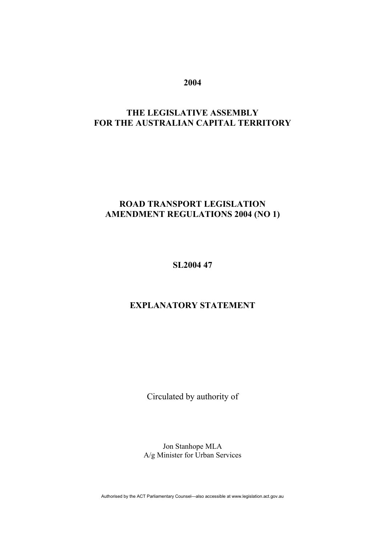**2004** 

# **THE LEGISLATIVE ASSEMBLY FOR THE AUSTRALIAN CAPITAL TERRITORY**

# **ROAD TRANSPORT LEGISLATION AMENDMENT REGULATIONS 2004 (NO 1)**

**SL2004 47** 

# **EXPLANATORY STATEMENT**

Circulated by authority of

Jon Stanhope MLA A/g Minister for Urban Services

Authorised by the ACT Parliamentary Counsel—also accessible at www.legislation.act.gov.au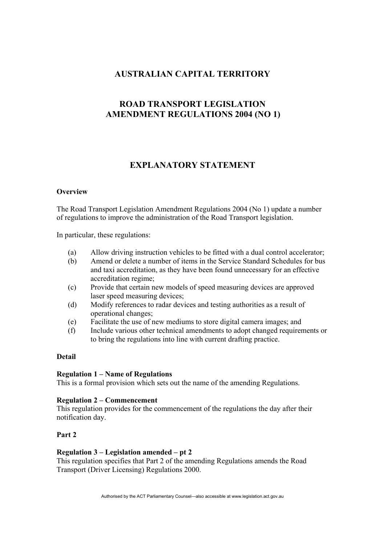# **AUSTRALIAN CAPITAL TERRITORY**

# **ROAD TRANSPORT LEGISLATION AMENDMENT REGULATIONS 2004 (NO 1)**

# **EXPLANATORY STATEMENT**

# **Overview**

The Road Transport Legislation Amendment Regulations 2004 (No 1) update a number of regulations to improve the administration of the Road Transport legislation.

In particular, these regulations:

- (a) Allow driving instruction vehicles to be fitted with a dual control accelerator;
- (b) Amend or delete a number of items in the Service Standard Schedules for bus and taxi accreditation, as they have been found unnecessary for an effective accreditation regime;
- (c) Provide that certain new models of speed measuring devices are approved laser speed measuring devices;
- (d) Modify references to radar devices and testing authorities as a result of operational changes;
- (e) Facilitate the use of new mediums to store digital camera images; and
- (f) Include various other technical amendments to adopt changed requirements or to bring the regulations into line with current drafting practice.

# **Detail**

# **Regulation 1 – Name of Regulations**

This is a formal provision which sets out the name of the amending Regulations.

# **Regulation 2 – Commencement**

This regulation provides for the commencement of the regulations the day after their notification day.

# **Part 2**

# **Regulation 3 – Legislation amended – pt 2**

This regulation specifies that Part 2 of the amending Regulations amends the Road Transport (Driver Licensing) Regulations 2000.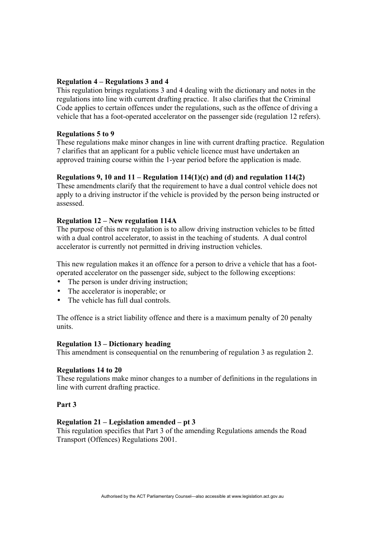## **Regulation 4 – Regulations 3 and 4**

This regulation brings regulations 3 and 4 dealing with the dictionary and notes in the regulations into line with current drafting practice. It also clarifies that the Criminal Code applies to certain offences under the regulations, such as the offence of driving a vehicle that has a foot-operated accelerator on the passenger side (regulation 12 refers).

## **Regulations 5 to 9**

These regulations make minor changes in line with current drafting practice. Regulation 7 clarifies that an applicant for a public vehicle licence must have undertaken an approved training course within the 1-year period before the application is made.

## **Regulations 9, 10 and 11 – Regulation 114(1)(c) and (d) and regulation 114(2)**

These amendments clarify that the requirement to have a dual control vehicle does not apply to a driving instructor if the vehicle is provided by the person being instructed or assessed.

## **Regulation 12 – New regulation 114A**

The purpose of this new regulation is to allow driving instruction vehicles to be fitted with a dual control accelerator, to assist in the teaching of students. A dual control accelerator is currently not permitted in driving instruction vehicles.

This new regulation makes it an offence for a person to drive a vehicle that has a footoperated accelerator on the passenger side, subject to the following exceptions:

- The person is under driving instruction;
- The accelerator is inoperable; or
- The vehicle has full dual controls.

The offence is a strict liability offence and there is a maximum penalty of 20 penalty units.

## **Regulation 13 – Dictionary heading**

This amendment is consequential on the renumbering of regulation 3 as regulation 2.

## **Regulations 14 to 20**

These regulations make minor changes to a number of definitions in the regulations in line with current drafting practice.

## **Part 3**

## **Regulation 21 – Legislation amended – pt 3**

This regulation specifies that Part 3 of the amending Regulations amends the Road Transport (Offences) Regulations 2001.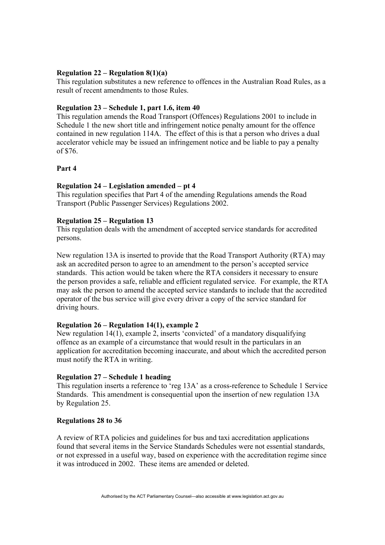## **Regulation 22 – Regulation 8(1)(a)**

This regulation substitutes a new reference to offences in the Australian Road Rules, as a result of recent amendments to those Rules.

## **Regulation 23 – Schedule 1, part 1.6, item 40**

This regulation amends the Road Transport (Offences) Regulations 2001 to include in Schedule 1 the new short title and infringement notice penalty amount for the offence contained in new regulation 114A. The effect of this is that a person who drives a dual accelerator vehicle may be issued an infringement notice and be liable to pay a penalty of \$76.

## **Part 4**

## **Regulation 24 – Legislation amended – pt 4**

This regulation specifies that Part 4 of the amending Regulations amends the Road Transport (Public Passenger Services) Regulations 2002.

## **Regulation 25 – Regulation 13**

This regulation deals with the amendment of accepted service standards for accredited persons.

New regulation 13A is inserted to provide that the Road Transport Authority (RTA) may ask an accredited person to agree to an amendment to the person's accepted service standards. This action would be taken where the RTA considers it necessary to ensure the person provides a safe, reliable and efficient regulated service. For example, the RTA may ask the person to amend the accepted service standards to include that the accredited operator of the bus service will give every driver a copy of the service standard for driving hours.

## **Regulation 26 – Regulation 14(1), example 2**

New regulation 14(1), example 2, inserts 'convicted' of a mandatory disqualifying offence as an example of a circumstance that would result in the particulars in an application for accreditation becoming inaccurate, and about which the accredited person must notify the RTA in writing.

## **Regulation 27 – Schedule 1 heading**

This regulation inserts a reference to 'reg 13A' as a cross-reference to Schedule 1 Service Standards. This amendment is consequential upon the insertion of new regulation 13A by Regulation 25.

## **Regulations 28 to 36**

A review of RTA policies and guidelines for bus and taxi accreditation applications found that several items in the Service Standards Schedules were not essential standards, or not expressed in a useful way, based on experience with the accreditation regime since it was introduced in 2002. These items are amended or deleted.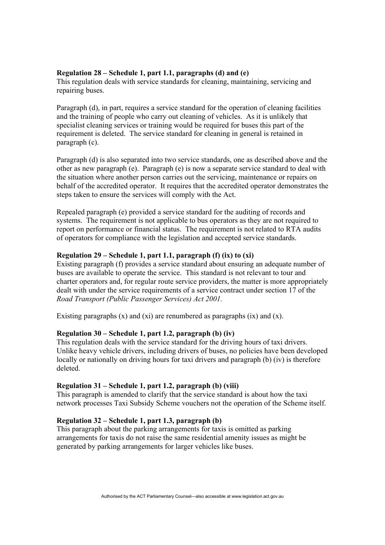## **Regulation 28 – Schedule 1, part 1.1, paragraphs (d) and (e)**

This regulation deals with service standards for cleaning, maintaining, servicing and repairing buses.

Paragraph (d), in part, requires a service standard for the operation of cleaning facilities and the training of people who carry out cleaning of vehicles. As it is unlikely that specialist cleaning services or training would be required for buses this part of the requirement is deleted. The service standard for cleaning in general is retained in paragraph (c).

Paragraph (d) is also separated into two service standards, one as described above and the other as new paragraph (e). Paragraph (e) is now a separate service standard to deal with the situation where another person carries out the servicing, maintenance or repairs on behalf of the accredited operator. It requires that the accredited operator demonstrates the steps taken to ensure the services will comply with the Act.

Repealed paragraph (e) provided a service standard for the auditing of records and systems. The requirement is not applicable to bus operators as they are not required to report on performance or financial status. The requirement is not related to RTA audits of operators for compliance with the legislation and accepted service standards.

# **Regulation 29 – Schedule 1, part 1.1, paragraph (f) (ix) to (xi)**

Existing paragraph (f) provides a service standard about ensuring an adequate number of buses are available to operate the service. This standard is not relevant to tour and charter operators and, for regular route service providers, the matter is more appropriately dealt with under the service requirements of a service contract under section 17 of the *Road Transport (Public Passenger Services) Act 2001.* 

Existing paragraphs  $(x)$  and  $(xi)$  are renumbered as paragraphs  $(ix)$  and  $(x)$ .

## **Regulation 30 – Schedule 1, part 1.2, paragraph (b) (iv)**

This regulation deals with the service standard for the driving hours of taxi drivers. Unlike heavy vehicle drivers, including drivers of buses, no policies have been developed locally or nationally on driving hours for taxi drivers and paragraph (b) (iv) is therefore deleted.

## **Regulation 31 – Schedule 1, part 1.2, paragraph (b) (viii)**

This paragraph is amended to clarify that the service standard is about how the taxi network processes Taxi Subsidy Scheme vouchers not the operation of the Scheme itself.

## **Regulation 32 – Schedule 1, part 1.3, paragraph (b)**

This paragraph about the parking arrangements for taxis is omitted as parking arrangements for taxis do not raise the same residential amenity issues as might be generated by parking arrangements for larger vehicles like buses.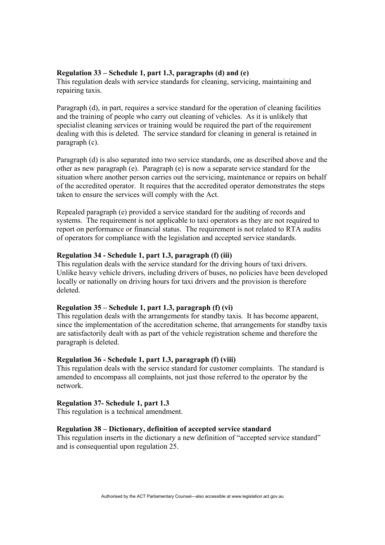## **Regulation 33 – Schedule 1, part 1.3, paragraphs (d) and (e)**

This regulation deals with service standards for cleaning, servicing, maintaining and repairing taxis.

Paragraph (d), in part, requires a service standard for the operation of cleaning facilities and the training of people who carry out cleaning of vehicles. As it is unlikely that specialist cleaning services or training would be required the part of the requirement dealing with this is deleted. The service standard for cleaning in general is retained in paragraph (c).

Paragraph (d) is also separated into two service standards, one as described above and the other as new paragraph (e). Paragraph (e) is now a separate service standard for the situation where another person carries out the servicing, maintenance or repairs on behalf of the accredited operator. It requires that the accredited operator demonstrates the steps taken to ensure the services will comply with the Act.

Repealed paragraph (e) provided a service standard for the auditing of records and systems. The requirement is not applicable to taxi operators as they are not required to report on performance or financial status. The requirement is not related to RTA audits of operators for compliance with the legislation and accepted service standards.

## **Regulation 34 - Schedule 1, part 1.3, paragraph (f) (iii)**

This regulation deals with the service standard for the driving hours of taxi drivers. Unlike heavy vehicle drivers, including drivers of buses, no policies have been developed locally or nationally on driving hours for taxi drivers and the provision is therefore deleted.

## **Regulation 35 – Schedule 1, part 1.3, paragraph (f) (vi)**

This regulation deals with the arrangements for standby taxis. It has become apparent, since the implementation of the accreditation scheme, that arrangements for standby taxis are satisfactorily dealt with as part of the vehicle registration scheme and therefore the paragraph is deleted.

## **Regulation 36 - Schedule 1, part 1.3, paragraph (f) (viii)**

This regulation deals with the service standard for customer complaints. The standard is amended to encompass all complaints, not just those referred to the operator by the network.

## **Regulation 37- Schedule 1, part 1.3**

This regulation is a technical amendment.

## **Regulation 38 – Dictionary, definition of accepted service standard**

This regulation inserts in the dictionary a new definition of "accepted service standard" and is consequential upon regulation 25.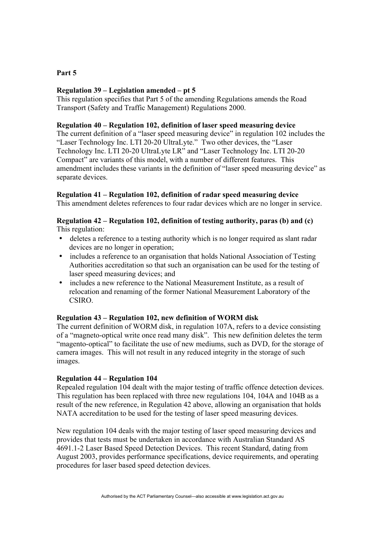# **Part 5**

# **Regulation 39 – Legislation amended – pt 5**

This regulation specifies that Part 5 of the amending Regulations amends the Road Transport (Safety and Traffic Management) Regulations 2000.

## **Regulation 40 – Regulation 102, definition of laser speed measuring device**

The current definition of a "laser speed measuring device" in regulation 102 includes the "Laser Technology Inc. LTI 20-20 UltraLyte." Two other devices, the "Laser Technology Inc. LTI 20-20 UltraLyte LR" and "Laser Technology Inc. LTI 20-20 Compact" are variants of this model, with a number of different features. This amendment includes these variants in the definition of "laser speed measuring device" as separate devices.

# **Regulation 41 – Regulation 102, definition of radar speed measuring device**

This amendment deletes references to four radar devices which are no longer in service.

# **Regulation 42 – Regulation 102, definition of testing authority, paras (b) and (c)**  This regulation:

- deletes a reference to a testing authority which is no longer required as slant radar devices are no longer in operation;
- includes a reference to an organisation that holds National Association of Testing Authorities accreditation so that such an organisation can be used for the testing of laser speed measuring devices; and
- includes a new reference to the National Measurement Institute, as a result of relocation and renaming of the former National Measurement Laboratory of the CSIRO.

# **Regulation 43 – Regulation 102, new definition of WORM disk**

The current definition of WORM disk, in regulation 107A, refers to a device consisting of a "magneto-optical write once read many disk". This new definition deletes the term "magento-optical" to facilitate the use of new mediums, such as DVD, for the storage of camera images. This will not result in any reduced integrity in the storage of such images.

# **Regulation 44 – Regulation 104**

Repealed regulation 104 dealt with the major testing of traffic offence detection devices. This regulation has been replaced with three new regulations 104, 104A and 104B as a result of the new reference, in Regulation 42 above, allowing an organisation that holds NATA accreditation to be used for the testing of laser speed measuring devices.

New regulation 104 deals with the major testing of laser speed measuring devices and provides that tests must be undertaken in accordance with Australian Standard AS 4691.1-2 Laser Based Speed Detection Devices. This recent Standard, dating from August 2003, provides performance specifications, device requirements, and operating procedures for laser based speed detection devices.